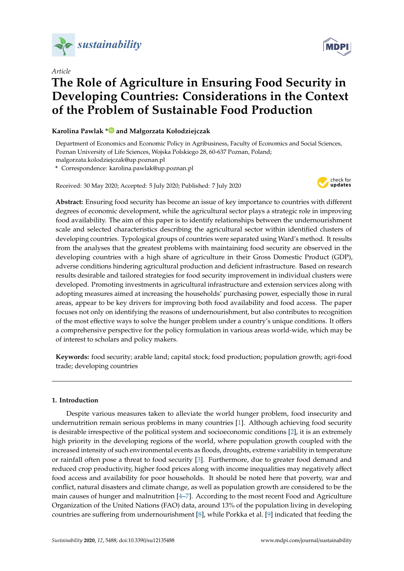

*Article*

# **The Role of Agriculture in Ensuring Food Security in Developing Countries: Considerations in the Context of the Problem of Sustainable Food Production**

## **Karolina Pawlak [\\*](https://orcid.org/0000-0002-5441-6381) and Małgorzata Kołodziejczak**

Department of Economics and Economic Policy in Agribusiness, Faculty of Economics and Social Sciences, Poznan University of Life Sciences, Wojska Polskiego 28, 60-637 Poznan, Poland; malgorzata.kolodziejczak@up.poznan.pl

**\*** Correspondence: karolina.pawlak@up.poznan.pl

Received: 30 May 2020; Accepted: 5 July 2020; Published: 7 July 2020



**Abstract:** Ensuring food security has become an issue of key importance to countries with different degrees of economic development, while the agricultural sector plays a strategic role in improving food availability. The aim of this paper is to identify relationships between the undernourishment scale and selected characteristics describing the agricultural sector within identified clusters of developing countries. Typological groups of countries were separated using Ward's method. It results from the analyses that the greatest problems with maintaining food security are observed in the developing countries with a high share of agriculture in their Gross Domestic Product (GDP), adverse conditions hindering agricultural production and deficient infrastructure. Based on research results desirable and tailored strategies for food security improvement in individual clusters were developed. Promoting investments in agricultural infrastructure and extension services along with adopting measures aimed at increasing the households' purchasing power, especially those in rural areas, appear to be key drivers for improving both food availability and food access. The paper focuses not only on identifying the reasons of undernourishment, but also contributes to recognition of the most effective ways to solve the hunger problem under a country's unique conditions. It offers a comprehensive perspective for the policy formulation in various areas world-wide, which may be of interest to scholars and policy makers.

**Keywords:** food security; arable land; capital stock; food production; population growth; agri-food trade; developing countries

### **1. Introduction**

Despite various measures taken to alleviate the world hunger problem, food insecurity and undernutrition remain serious problems in many countries [\[1\]](#page-14-0). Although achieving food security is desirable irrespective of the political system and socioeconomic conditions [\[2\]](#page-14-1), it is an extremely high priority in the developing regions of the world, where population growth coupled with the increased intensity of such environmental events as floods, droughts, extreme variability in temperature or rainfall often pose a threat to food security [\[3\]](#page-14-2). Furthermore, due to greater food demand and reduced crop productivity, higher food prices along with income inequalities may negatively affect food access and availability for poor households. It should be noted here that poverty, war and conflict, natural disasters and climate change, as well as population growth are considered to be the main causes of hunger and malnutrition [\[4–](#page-14-3)[7\]](#page-14-4). According to the most recent Food and Agriculture Organization of the United Nations (FAO) data, around 13% of the population living in developing countries are suffering from undernourishment [\[8\]](#page-14-5), while Porkka et al. [\[9\]](#page-14-6) indicated that feeding the

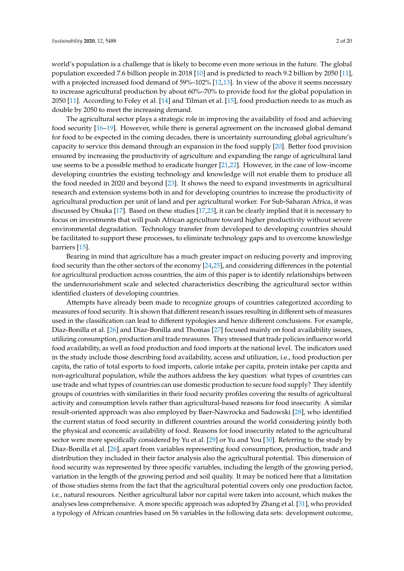world's population is a challenge that is likely to become even more serious in the future. The global population exceeded 7.6 billion people in 2018 [\[10\]](#page-14-7) and is predicted to reach 9.2 billion by 2050 [\[11\]](#page-14-8), with a projected increased food demand of 59%–102% [\[12,](#page-14-9)[13\]](#page-15-0). In view of the above it seems necessary to increase agricultural production by about 60%–70% to provide food for the global population in 2050 [\[11\]](#page-14-8). According to Foley et al. [\[14\]](#page-15-1) and Tilman et al. [\[15\]](#page-15-2), food production needs to as much as double by 2050 to meet the increasing demand.

The agricultural sector plays a strategic role in improving the availability of food and achieving food security [\[16](#page-15-3)[–19\]](#page-15-4). However, while there is general agreement on the increased global demand for food to be expected in the coming decades, there is uncertainty surrounding global agriculture's capacity to service this demand through an expansion in the food supply [\[20\]](#page-15-5). Better food provision ensured by increasing the productivity of agriculture and expanding the range of agricultural land use seems to be a possible method to eradicate hunger [\[21](#page-15-6)[,22\]](#page-15-7). However, in the case of low-income developing countries the existing technology and knowledge will not enable them to produce all the food needed in 2020 and beyond [\[23\]](#page-15-8). It shows the need to expand investments in agricultural research and extension systems both in and for developing countries to increase the productivity of agricultural production per unit of land and per agricultural worker. For Sub-Saharan Africa, it was discussed by Otsuka [\[17\]](#page-15-9). Based on these studies [\[17](#page-15-9)[,23\]](#page-15-8), it can be clearly implied that it is necessary to focus on investments that will push African agriculture toward higher productivity without severe environmental degradation. Technology transfer from developed to developing countries should be facilitated to support these processes, to eliminate technology gaps and to overcome knowledge barriers [\[15\]](#page-15-2).

Bearing in mind that agriculture has a much greater impact on reducing poverty and improving food security than the other sectors of the economy [\[24](#page-15-10)[,25\]](#page-15-11), and considering differences in the potential for agricultural production across countries, the aim of this paper is to identify relationships between the undernourishment scale and selected characteristics describing the agricultural sector within identified clusters of developing countries.

Attempts have already been made to recognize groups of countries categorized according to measures of food security. It is shown that different research issues resulting in different sets of measures used in the classification can lead to different typologies and hence different conclusions. For example, Diaz-Bonilla et al. [\[26\]](#page-15-12) and Diaz-Bonilla and Thomas [\[27\]](#page-15-13) focused mainly on food availability issues, utilizing consumption, production and trade measures. They stressed that trade policies influence world food availability, as well as food production and food imports at the national level. The indicators used in the study include those describing food availability, access and utilization, i.e., food production per capita, the ratio of total exports to food imports, calorie intake per capita, protein intake per capita and non-agricultural population, while the authors address the key question: what types of countries can use trade and what types of countries can use domestic production to secure food supply? They identify groups of countries with similarities in their food security profiles covering the results of agricultural activity and consumption levels rather than agricultural-based reasons for food insecurity. A similar result-oriented approach was also employed by Baer-Nawrocka and Sadowski [\[28\]](#page-15-14), who identified the current status of food security in different countries around the world considering jointly both the physical and economic availability of food. Reasons for food insecurity related to the agricultural sector were more specifically considered by Yu et al. [\[29\]](#page-15-15) or Yu and You [\[30\]](#page-15-16). Referring to the study by Diaz-Bonilla et al. [\[26\]](#page-15-12), apart from variables representing food consumption, production, trade and distribution they included in their factor analysis also the agricultural potential. This dimension of food security was represented by three specific variables, including the length of the growing period, variation in the length of the growing period and soil quality. It may be noticed here that a limitation of those studies stems from the fact that the agricultural potential covers only one production factor, i.e., natural resources. Neither agricultural labor nor capital were taken into account, which makes the analyses less comprehensive. A more specific approach was adopted by Zhang et al. [\[31\]](#page-15-17), who provided a typology of African countries based on 56 variables in the following data sets: development outcome,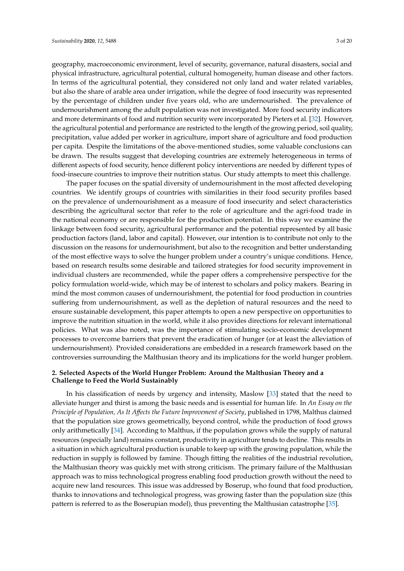geography, macroeconomic environment, level of security, governance, natural disasters, social and physical infrastructure, agricultural potential, cultural homogeneity, human disease and other factors. In terms of the agricultural potential, they considered not only land and water related variables, but also the share of arable area under irrigation, while the degree of food insecurity was represented by the percentage of children under five years old, who are undernourished. The prevalence of undernourishment among the adult population was not investigated. More food security indicators and more determinants of food and nutrition security were incorporated by Pieters et al. [\[32\]](#page-15-18). However, the agricultural potential and performance are restricted to the length of the growing period, soil quality, precipitation, value added per worker in agriculture, import share of agriculture and food production per capita. Despite the limitations of the above-mentioned studies, some valuable conclusions can be drawn. The results suggest that developing countries are extremely heterogeneous in terms of different aspects of food security, hence different policy interventions are needed by different types of food-insecure countries to improve their nutrition status. Our study attempts to meet this challenge.

The paper focuses on the spatial diversity of undernourishment in the most affected developing countries. We identify groups of countries with similarities in their food security profiles based on the prevalence of undernourishment as a measure of food insecurity and select characteristics describing the agricultural sector that refer to the role of agriculture and the agri-food trade in the national economy or are responsible for the production potential. In this way we examine the linkage between food security, agricultural performance and the potential represented by all basic production factors (land, labor and capital). However, our intention is to contribute not only to the discussion on the reasons for undernourishment, but also to the recognition and better understanding of the most effective ways to solve the hunger problem under a country's unique conditions. Hence, based on research results some desirable and tailored strategies for food security improvement in individual clusters are recommended, while the paper offers a comprehensive perspective for the policy formulation world-wide, which may be of interest to scholars and policy makers. Bearing in mind the most common causes of undernourishment, the potential for food production in countries suffering from undernourishment, as well as the depletion of natural resources and the need to ensure sustainable development, this paper attempts to open a new perspective on opportunities to improve the nutrition situation in the world, while it also provides directions for relevant international policies. What was also noted, was the importance of stimulating socio-economic development processes to overcome barriers that prevent the eradication of hunger (or at least the alleviation of undernourishment). Provided considerations are embedded in a research framework based on the controversies surrounding the Malthusian theory and its implications for the world hunger problem.

## **2. Selected Aspects of the World Hunger Problem: Around the Malthusian Theory and a Challenge to Feed the World Sustainably**

In his classification of needs by urgency and intensity, Maslow [\[33\]](#page-15-19) stated that the need to alleviate hunger and thirst is among the basic needs and is essential for human life. In *An Essay on the Principle of Population, As It A*ff*ects the Future Improvement of Society*, published in 1798, Malthus claimed that the population size grows geometrically, beyond control, while the production of food grows only arithmetically [\[34\]](#page-15-20). According to Malthus, if the population grows while the supply of natural resources (especially land) remains constant, productivity in agriculture tends to decline. This results in a situation in which agricultural production is unable to keep up with the growing population, while the reduction in supply is followed by famine. Though fitting the realities of the industrial revolution, the Malthusian theory was quickly met with strong criticism. The primary failure of the Malthusian approach was to miss technological progress enabling food production growth without the need to acquire new land resources. This issue was addressed by Boserup, who found that food production, thanks to innovations and technological progress, was growing faster than the population size (this pattern is referred to as the Boserupian model), thus preventing the Malthusian catastrophe [\[35\]](#page-15-21).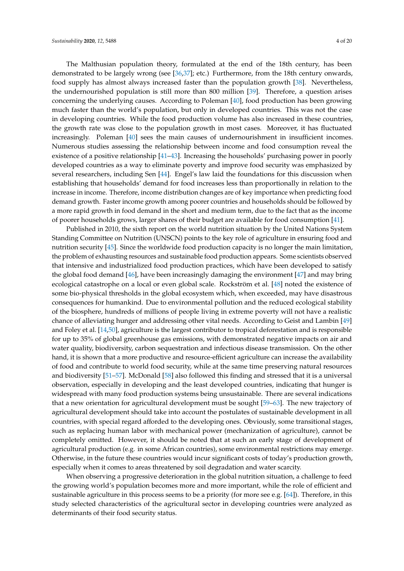The Malthusian population theory, formulated at the end of the 18th century, has been demonstrated to be largely wrong (see [\[36](#page-16-0)[,37\]](#page-16-1); etc.) Furthermore, from the 18th century onwards, food supply has almost always increased faster than the population growth [\[38\]](#page-16-2). Nevertheless, the undernourished population is still more than 800 million [\[39\]](#page-16-3). Therefore, a question arises concerning the underlying causes. According to Poleman [\[40\]](#page-16-4), food production has been growing much faster than the world's population, but only in developed countries. This was not the case in developing countries. While the food production volume has also increased in these countries, the growth rate was close to the population growth in most cases. Moreover, it has fluctuated increasingly. Poleman [\[40\]](#page-16-4) sees the main causes of undernourishment in insufficient incomes. Numerous studies assessing the relationship between income and food consumption reveal the existence of a positive relationship [\[41–](#page-16-5)[43\]](#page-16-6). Increasing the households' purchasing power in poorly developed countries as a way to eliminate poverty and improve food security was emphasized by several researchers, including Sen [\[44\]](#page-16-7). Engel's law laid the foundations for this discussion when establishing that households' demand for food increases less than proportionally in relation to the increase in income. Therefore, income distribution changes are of key importance when predicting food demand growth. Faster income growth among poorer countries and households should be followed by a more rapid growth in food demand in the short and medium term, due to the fact that as the income of poorer households grows, larger shares of their budget are available for food consumption [\[41\]](#page-16-5).

Published in 2010, the sixth report on the world nutrition situation by the United Nations System Standing Committee on Nutrition (UNSCN) points to the key role of agriculture in ensuring food and nutrition security [\[45\]](#page-16-8). Since the worldwide food production capacity is no longer the main limitation, the problem of exhausting resources and sustainable food production appears. Some scientists observed that intensive and industrialized food production practices, which have been developed to satisfy the global food demand [\[46\]](#page-16-9), have been increasingly damaging the environment [\[47\]](#page-16-10) and may bring ecological catastrophe on a local or even global scale. Rockström et al. [\[48\]](#page-16-11) noted the existence of some bio-physical thresholds in the global ecosystem which, when exceeded, may have disastrous consequences for humankind. Due to environmental pollution and the reduced ecological stability of the biosphere, hundreds of millions of people living in extreme poverty will not have a realistic chance of alleviating hunger and addressing other vital needs. According to Geist and Lambin [\[49\]](#page-16-12) and Foley et al. [\[14,](#page-15-1)[50\]](#page-16-13), agriculture is the largest contributor to tropical deforestation and is responsible for up to 35% of global greenhouse gas emissions, with demonstrated negative impacts on air and water quality, biodiversity, carbon sequestration and infectious disease transmission. On the other hand, it is shown that a more productive and resource-efficient agriculture can increase the availability of food and contribute to world food security, while at the same time preserving natural resources and biodiversity [\[51](#page-16-14)[–57\]](#page-16-15). McDonald [\[58\]](#page-16-16) also followed this finding and stressed that it is a universal observation, especially in developing and the least developed countries, indicating that hunger is widespread with many food production systems being unsustainable. There are several indications that a new orientation for agricultural development must be sought [\[59–](#page-16-17)[63\]](#page-17-0). The new trajectory of agricultural development should take into account the postulates of sustainable development in all countries, with special regard afforded to the developing ones. Obviously, some transitional stages, such as replacing human labor with mechanical power (mechanization of agriculture), cannot be completely omitted. However, it should be noted that at such an early stage of development of agricultural production (e.g. in some African countries), some environmental restrictions may emerge. Otherwise, in the future these countries would incur significant costs of today's production growth, especially when it comes to areas threatened by soil degradation and water scarcity.

When observing a progressive deterioration in the global nutrition situation, a challenge to feed the growing world's population becomes more and more important, while the role of efficient and sustainable agriculture in this process seems to be a priority (for more see e.g. [\[64\]](#page-17-1)). Therefore, in this study selected characteristics of the agricultural sector in developing countries were analyzed as determinants of their food security status.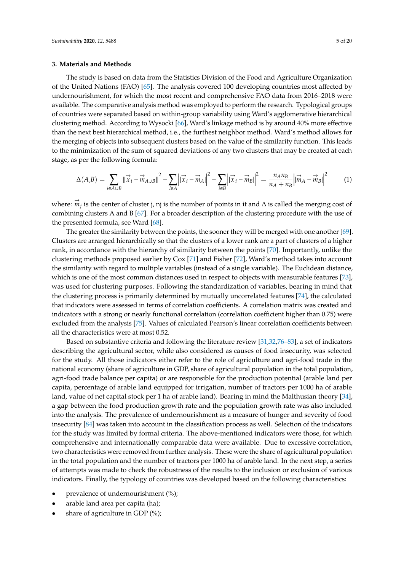#### **3. Materials and Methods**

The study is based on data from the Statistics Division of the Food and Agriculture Organization of the United Nations (FAO) [\[65\]](#page-17-2). The analysis covered 100 developing countries most affected by undernourishment, for which the most recent and comprehensive FAO data from 2016–2018 were available. The comparative analysis method was employed to perform the research. Typological groups of countries were separated based on within-group variability using Ward's agglomerative hierarchical clustering method. According to Wysocki [\[66\]](#page-17-3), Ward's linkage method is by around 40% more effective than the next best hierarchical method, i.e., the furthest neighbor method. Ward's method allows for the merging of objects into subsequent clusters based on the value of the similarity function. This leads to the minimization of the sum of squared deviations of any two clusters that may be created at each stage, as per the following formula:

$$
\Delta(A,B) = \sum_{i \in A \cup B} ||\vec{x}_i - \vec{m}_{A \cup B}||^2 - \sum_{i \in A} ||\vec{x}_i - \vec{m}_A||^2 - \sum_{i \in B} ||\vec{x}_i - \vec{m}_B||^2 = \frac{n_A n_B}{n_A + n_B} ||\vec{m}_A - \vec{m}_B||^2 \tag{1}
$$

where:  $\stackrel{\rightarrow}{m}_j$  is the center of cluster j, nj is the number of points in it and ∆ is called the merging cost of combining clusters A and B [\[67\]](#page-17-4). For a broader description of the clustering procedure with the use of the presented formula, see Ward [\[68\]](#page-17-5).

The greater the similarity between the points, the sooner they will be merged with one another [\[69\]](#page-17-6). Clusters are arranged hierarchically so that the clusters of a lower rank are a part of clusters of a higher rank, in accordance with the hierarchy of similarity between the points [\[70\]](#page-17-7). Importantly, unlike the clustering methods proposed earlier by Cox [\[71\]](#page-17-8) and Fisher [\[72\]](#page-17-9), Ward's method takes into account the similarity with regard to multiple variables (instead of a single variable). The Euclidean distance, which is one of the most common distances used in respect to objects with measurable features [\[73\]](#page-17-10), was used for clustering purposes. Following the standardization of variables, bearing in mind that the clustering process is primarily determined by mutually uncorrelated features [\[74\]](#page-17-11), the calculated that indicators were assessed in terms of correlation coefficients. A correlation matrix was created and indicators with a strong or nearly functional correlation (correlation coefficient higher than 0.75) were excluded from the analysis [\[75\]](#page-17-12). Values of calculated Pearson's linear correlation coefficients between all the characteristics were at most 0.52.

Based on substantive criteria and following the literature review [\[31](#page-15-17)[,32](#page-15-18)[,76–](#page-17-13)[83\]](#page-17-14), a set of indicators describing the agricultural sector, while also considered as causes of food insecurity, was selected for the study. All those indicators either refer to the role of agriculture and agri-food trade in the national economy (share of agriculture in GDP, share of agricultural population in the total population, agri-food trade balance per capita) or are responsible for the production potential (arable land per capita, percentage of arable land equipped for irrigation, number of tractors per 1000 ha of arable land, value of net capital stock per 1 ha of arable land). Bearing in mind the Malthusian theory [\[34\]](#page-15-20), a gap between the food production growth rate and the population growth rate was also included into the analysis. The prevalence of undernourishment as a measure of hunger and severity of food insecurity [\[84\]](#page-17-15) was taken into account in the classification process as well. Selection of the indicators for the study was limited by formal criteria. The above-mentioned indicators were those, for which comprehensive and internationally comparable data were available. Due to excessive correlation, two characteristics were removed from further analysis. These were the share of agricultural population in the total population and the number of tractors per 1000 ha of arable land. In the next step, a series of attempts was made to check the robustness of the results to the inclusion or exclusion of various indicators. Finally, the typology of countries was developed based on the following characteristics:

- prevalence of undernourishment (%);
- arable land area per capita (ha);
- share of agriculture in GDP  $(\%)$ ;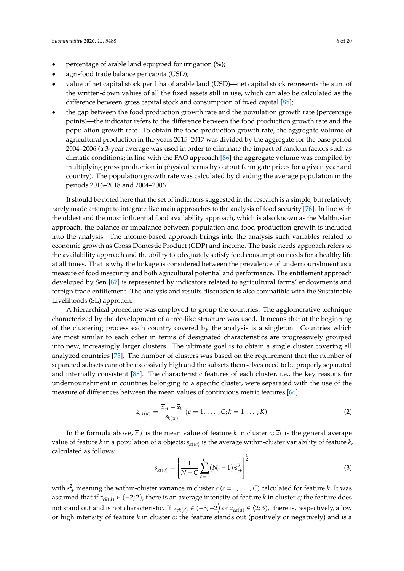- percentage of arable land equipped for irrigation (%);
- agri-food trade balance per capita (USD);
- value of net capital stock per 1 ha of arable land (USD)—net capital stock represents the sum of the written-down values of all the fixed assets still in use, which can also be calculated as the difference between gross capital stock and consumption of fixed capital [\[85\]](#page-18-0);
- the gap between the food production growth rate and the population growth rate (percentage points)—the indicator refers to the difference between the food production growth rate and the population growth rate. To obtain the food production growth rate, the aggregate volume of agricultural production in the years 2015–2017 was divided by the aggregate for the base period 2004–2006 (a 3-year average was used in order to eliminate the impact of random factors such as climatic conditions; in line with the FAO approach [\[86\]](#page-18-1) the aggregate volume was compiled by multiplying gross production in physical terms by output farm gate prices for a given year and country). The population growth rate was calculated by dividing the average population in the periods 2016–2018 and 2004–2006.

It should be noted here that the set of indicators suggested in the research is a simple, but relatively rarely made attempt to integrate five main approaches to the analysis of food security [\[76\]](#page-17-13). In line with the oldest and the most influential food availability approach, which is also known as the Malthusian approach, the balance or imbalance between population and food production growth is included into the analysis. The income-based approach brings into the analysis such variables related to economic growth as Gross Domestic Product (GDP) and income. The basic needs approach refers to the availability approach and the ability to adequately satisfy food consumption needs for a healthy life at all times. That is why the linkage is considered between the prevalence of undernourishment as a measure of food insecurity and both agricultural potential and performance. The entitlement approach developed by Sen [\[87\]](#page-18-2) is represented by indicators related to agricultural farms' endowments and foreign trade entitlement. The analysis and results discussion is also compatible with the Sustainable Livelihoods (SL) approach.

A hierarchical procedure was employed to group the countries. The agglomerative technique characterized by the development of a tree-like structure was used. It means that at the beginning of the clustering process each country covered by the analysis is a singleton. Countries which are most similar to each other in terms of designated characteristics are progressively grouped into new, increasingly larger clusters. The ultimate goal is to obtain a single cluster covering all analyzed countries [\[75\]](#page-17-12). The number of clusters was based on the requirement that the number of separated subsets cannot be excessively high and the subsets themselves need to be properly separated and internally consistent [\[88\]](#page-18-3). The characteristic features of each cluster, i.e., the key reasons for undernourishment in countries belonging to a specific cluster, were separated with the use of the measure of differences between the mean values of continuous metric features [\[66\]](#page-17-3):

$$
z_{ck(d)} = \frac{\bar{x}_{ck} - \bar{x}_k}{s_{k(w)}} \ (c = 1, \ \dots \ , C; k = 1 \ \dots \ , K)
$$
 (2)

In the formula above,  $\bar{x}_{ck}$  is the mean value of feature  $k$  in cluster  $c$ ;  $\bar{x}_k$  is the general average value of feature *k* in a population of *n* objects; *sk*(*w*) is the average within-cluster variability of feature *k*, calculated as follows:

$$
s_{k(w)} = \left[\frac{1}{N-C} \sum_{c=1}^{C} (N_c - 1) \cdot s_{ck}^2\right]^{\frac{1}{2}}
$$
(3)

with  $s_{ck}^2$  meaning the within-cluster variance in cluster *c* (*c* = 1, . . . , *C*) calculated for feature *k*. It was assumed that if  $z_{ck(d)} \in (-2, 2)$ , there is an average intensity of feature *k* in cluster *c*; the feature does not stand out and is not characteristic. If  $z_{ck(d)} \in (-3, -2)$  or  $z_{ck(d)} \in (2, 3)$ , there is, respectively, a low or high intensity of feature *k* in cluster *c*; the feature stands out (positively or negatively) and is a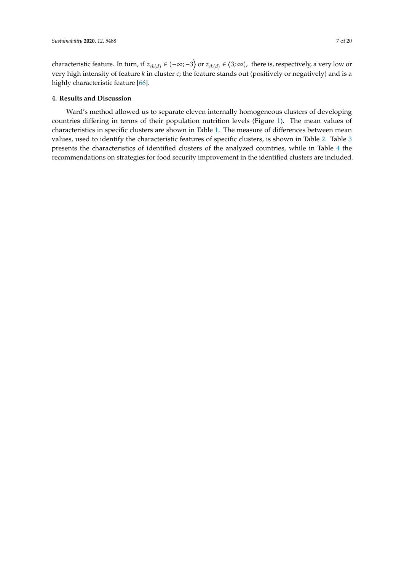characteristic feature. In turn, if  $z_{ck(d)} \in (-\infty; -3)$  or  $z_{ck(d)} \in (3; \infty)$ , there is, respectively, a very low or very high intensity of feature *k* in cluster *c*; the feature stands out (positively or negatively) and is a highly characteristic feature [\[66\]](#page-17-3).

#### **4. Results and Discussion**

Ward's method allowed us to separate eleven internally homogeneous clusters of developing countries differing in terms of their population nutrition levels (Figure [1\)](#page-7-0). The mean values of characteristics in specific clusters are shown in Table [1.](#page-8-0) The measure of differences between mean values, used to identify the characteristic features of specific clusters, is shown in Table [2.](#page-8-1) Table [3](#page-9-0) presents the characteristics of identified clusters of the analyzed countries, while in Table [4](#page-10-0) the recommendations on strategies for food security improvement in the identified clusters are included.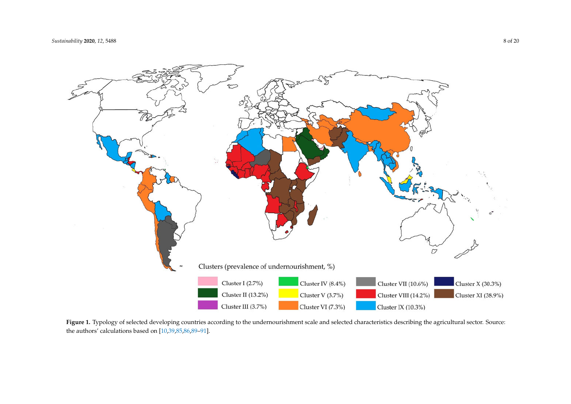<span id="page-7-1"></span>

<span id="page-7-0"></span>Figure 1. Typology of selected developing countries according to the undernourishment scale and selected characteristics describing the agricultural sector. Source: the authors' calculations based on [\[10,](#page-14-10)[39](#page-16-18)[,85,](#page-18-4)[86](#page-18-5)[,89–](#page-18-6)[91\]](#page-18-7).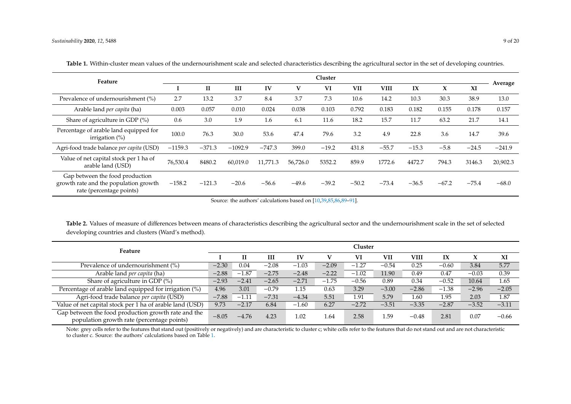| Feature                                                                                              | Cluster   |              |           |          |          |         |         |             |         |         |         | Average  |
|------------------------------------------------------------------------------------------------------|-----------|--------------|-----------|----------|----------|---------|---------|-------------|---------|---------|---------|----------|
|                                                                                                      |           | $\mathbf{I}$ | III       | IV       | V        | VI      | VII     | <b>VIII</b> | IX      | X       | XI      |          |
| Prevalence of undernourishment (%)                                                                   | 2.7       | 13.2         | 3.7       | 8.4      | 3.7      | 7.3     | 10.6    | 14.2        | 10.3    | 30.3    | 38.9    | 13.0     |
| Arable land <i>per capita</i> (ha)                                                                   | 0.003     | 0.057        | 0.010     | 0.024    | 0.038    | 0.103   | 0.792   | 0.183       | 0.182   | 0.155   | 0.178   | 0.157    |
| Share of agriculture in GDP (%)                                                                      | 0.6       | 3.0          | 1.9       | 1.6      | 6.1      | 11.6    | 18.2    | 15.7        | 11.7    | 63.2    | 21.7    | 14.1     |
| Percentage of arable land equipped for<br>irrigation $(\%)$                                          | 100.0     | 76.3         | 30.0      | 53.6     | 47.4     | 79.6    | 3.2     | 4.9         | 22.8    | 3.6     | 14.7    | 39.6     |
| Agri-food trade balance per capita (USD)                                                             | $-1159.3$ | $-371.3$     | $-1092.9$ | $-747.3$ | 399.0    | $-19.2$ | 431.8   | $-55.7$     | $-15.3$ | $-5.8$  | $-24.5$ | $-241.9$ |
| Value of net capital stock per 1 ha of<br>arable land (USD)                                          | 76,530.4  | 8480.2       | 60,019.0  | 11,771.3 | 56,726.0 | 5352.2  | 859.9   | 1772.6      | 4472.7  | 794.3   | 3146.3  | 20,902.3 |
| Gap between the food production<br>growth rate and the population growth<br>rate (percentage points) | $-158.2$  | $-121.3$     | $-20.6$   | $-56.6$  | $-49.6$  | $-39.2$ | $-50.2$ | $-73.4$     | $-36.5$ | $-67.2$ | $-75.4$ | $-68.0$  |

<span id="page-8-2"></span>Table 1. Within-cluster mean values of the undernourishment scale and selected characteristics describing the agricultural sector in the set of developing countries.

Source: the authors' calculations based on [\[10,](#page-14-10)[39,](#page-16-18)[85](#page-18-4)[,86](#page-18-5)[,89](#page-18-6)[–91\]](#page-18-7).

<span id="page-8-3"></span><span id="page-8-0"></span>**Table 2.** Values of measure of differences between means of characteristics describing the agricultural sector and the undernourishment scale in the set of selected developing countries and clusters (Ward's method).

| Feature                                                                                           |         | Cluster |         |         |         |         |         |             |                         |         |         |  |  |
|---------------------------------------------------------------------------------------------------|---------|---------|---------|---------|---------|---------|---------|-------------|-------------------------|---------|---------|--|--|
|                                                                                                   |         |         | III     | IV      |         | VI      | VII     | <b>VIII</b> | $\mathbf{I} \mathbf{X}$ | X       | XI      |  |  |
| Prevalence of undernourishment (%)                                                                | $-2.30$ | 0.04    | $-2.08$ | $-1.03$ | $-2.09$ | $-1.27$ | $-0.54$ | 0.25        | $-0.60$                 | 3.84    | 5.77    |  |  |
| Arable land <i>per capita</i> (ha)                                                                | $-2.88$ | $-1.87$ | $-2.75$ | $-2.48$ | $-2.22$ | $-1.02$ | 11.90   | 0.49        | 0.47                    | $-0.03$ | 0.39    |  |  |
| Share of agriculture in GDP (%)                                                                   | $-2.93$ | $-2.41$ | $-2.65$ | $-2.71$ | $-1.75$ | $-0.56$ | 0.89    | 0.34        | $-0.52$                 | 10.64   | 1.65    |  |  |
| Percentage of arable land equipped for irrigation (%)                                             | 4.96    | 3.01    | $-0.79$ | 1.15    | 0.63    | 3.29    | $-3.00$ | $-2.86$     | $-1.38$                 | $-2.96$ | $-2.05$ |  |  |
| Agri-food trade balance per capita (USD)                                                          | $-7.88$ | $-1.11$ | $-7.31$ | $-4.34$ | 5.51    | 1.91    | 5.79    | 1.60        | 1.95                    | 2.03    | 1.87    |  |  |
| Value of net capital stock per 1 ha of arable land (USD)                                          | 9.73    | $-2.17$ | 6.84    | $-1.60$ | 6.27    | $-2.72$ | $-3.51$ | $-3.35$     | $-2.87$                 | $-3.52$ | $-3.11$ |  |  |
| Gap between the food production growth rate and the<br>population growth rate (percentage points) | $-8.05$ | $-4.76$ | 4.23    | 1.02    | 1.64    | 2.58    | 1.59    | $-0.48$     | 2.81                    | 0.07    | $-0.66$ |  |  |

<span id="page-8-1"></span>Note: grey cells refer to the features that stand out (positively or negatively) and are characteristic to cluster c; white cells refer to the features that do not stand out and are not characteristic to cluster c. Source: the authors' calculations based on Table [1.](#page-8-2)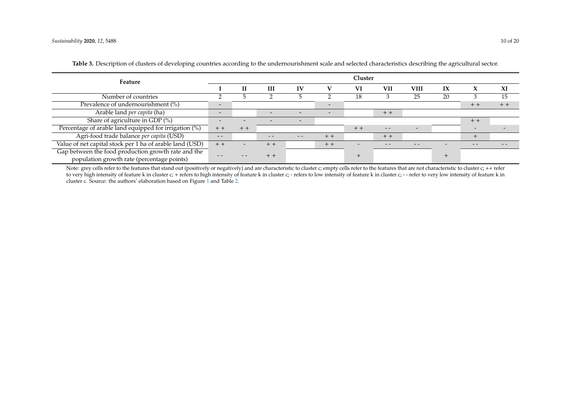| Feature                                                                                           |                          | Cluster |                          |                          |                          |       |       |                          |                         |                          |       |  |  |
|---------------------------------------------------------------------------------------------------|--------------------------|---------|--------------------------|--------------------------|--------------------------|-------|-------|--------------------------|-------------------------|--------------------------|-------|--|--|
|                                                                                                   |                          | Н       | Ш                        | $\bf{IV}$                | v                        | VI    | VII   | VIII                     | $\mathbf{I} \mathbf{X}$ | $\lambda$                | XI    |  |  |
| Number of countries                                                                               |                          |         |                          |                          |                          | 18    |       | 25                       | 20                      |                          | 15    |  |  |
| Prevalence of undernourishment (%)                                                                |                          |         |                          |                          | $\overline{\phantom{a}}$ |       |       |                          |                         | $+ +$                    | $+ +$ |  |  |
| Arable land per capita (ha)                                                                       | $\overline{\phantom{a}}$ |         | $\overline{\phantom{0}}$ | $\overline{\phantom{0}}$ | $\tilde{\phantom{a}}$    |       | $+ +$ |                          |                         |                          |       |  |  |
| Share of agriculture in GDP (%)                                                                   |                          |         |                          | $\overline{\phantom{0}}$ |                          |       |       |                          |                         | $+ +$                    |       |  |  |
| Percentage of arable land equipped for irrigation (%)                                             |                          | $+ +$   |                          |                          |                          | $+ +$ | $ -$  | $\overline{\phantom{a}}$ |                         | $\overline{\phantom{0}}$ |       |  |  |
| Agri-food trade balance per capita (USD)                                                          | $ -$                     |         | $ -$                     | $ -$                     | $+ +$                    |       | $+ +$ |                          |                         | $^{+}$                   |       |  |  |
| Value of net capital stock per 1 ha of arable land (USD)                                          | $+ +$                    |         | $+ +$                    |                          | $+ +$                    |       | - -   | - -                      |                         | - -                      | $ -$  |  |  |
| Gap between the food production growth rate and the<br>population growth rate (percentage points) |                          |         |                          |                          |                          |       |       |                          |                         |                          |       |  |  |

**Table 3.** Description of clusters of developing countries according to the undernourishment scale and selected characteristics describing the agricultural sector.

<span id="page-9-0"></span>Note: grey cells refer to the features that stand out (positively or negatively) and are characteristic to cluster c; empty cells refer to the features that are not characteristic to cluster c; ++ refer to very high intensity of feature k in cluster c; + refers to high intensity of feature k in cluster c; - refers to low intensity of feature k in cluster c; - - refer to very low intensity of feature k in cluster c; - - re cluster c. Source: the authors' elaboration based on Figure [1](#page-7-1) and Table [2.](#page-8-3)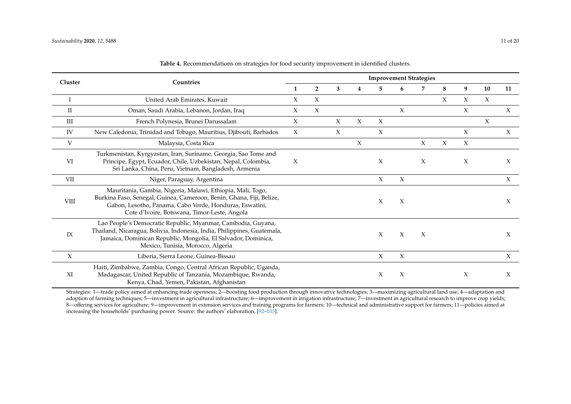| Cluster | Countries                                                                                                                                                                                                                                     | <b>Improvement Strategies</b> |                |        |        |        |        |        |        |   |        |        |  |  |
|---------|-----------------------------------------------------------------------------------------------------------------------------------------------------------------------------------------------------------------------------------------------|-------------------------------|----------------|--------|--------|--------|--------|--------|--------|---|--------|--------|--|--|
|         |                                                                                                                                                                                                                                               |                               | $\overline{2}$ | 3      | 4      | 5      | 6      | 7      | 8      | 9 | 10     | 11     |  |  |
|         | United Arab Emirates, Kuwait                                                                                                                                                                                                                  | X                             | X              |        |        |        |        |        | X      | X | X      |        |  |  |
| П       | Oman, Saudi Arabia, Lebanon, Jordan, Iraq                                                                                                                                                                                                     | X                             | $\chi$         |        |        |        | $\chi$ |        |        | X |        | $\chi$ |  |  |
| Ш       | French Polynesia, Brunei Darussalam                                                                                                                                                                                                           | X                             |                | $\chi$ | X      | $\chi$ |        |        |        |   | $\chi$ |        |  |  |
| IV      | New Caledonia, Trinidad and Tobago, Mauritius, Djibouti, Barbados                                                                                                                                                                             | X                             |                | $\chi$ |        | $\chi$ |        |        |        | X |        | $\chi$ |  |  |
| V       | Malaysia, Costa Rica                                                                                                                                                                                                                          |                               |                |        | $\chi$ |        |        | X      | $\chi$ | X |        |        |  |  |
| VI      | Turkmenistan, Kyrgyzstan, Iran, Suriname, Georgia, Sao Tome and<br>Principe, Egypt, Ecuador, Chile, Uzbekistan, Nepal, Colombia,<br>Sri Lanka, China, Peru, Vietnam, Bangladesh, Armenia                                                      | X                             |                |        |        | X      |        | X      |        | X |        | X      |  |  |
| VII     | Niger, Paraguay, Argentina                                                                                                                                                                                                                    |                               |                |        |        | X      | X      |        |        |   |        | $\chi$ |  |  |
| VIII    | Mauritania, Gambia, Nigeria, Malawi, Ethiopia, Mali, Togo,<br>Burkina Faso, Senegal, Guinea, Cameroon, Benin, Ghana, Fiji, Belize,<br>Gabon, Lesotho, Panama, Cabo Verde, Honduras, Eswatini,<br>Cote d'Ivoire, Botswana, Timor-Leste, Angola |                               |                |        |        | X      | X      |        |        |   |        | X      |  |  |
| IX      | Lao People's Democratic Republic, Myanmar, Cambodia, Guyana,<br>Thailand, Nicaragua, Bolivia, Indonesia, India, Philippines, Guatemala,<br>Jamaica, Dominican Republic, Mongolia, El Salvador, Dominica,<br>Mexico, Tunisia, Morocco, Algeria |                               |                |        |        | X      | $\chi$ | $\chi$ |        |   |        | X      |  |  |
| X       | Liberia, Sierra Leone, Guinea-Bissau                                                                                                                                                                                                          |                               |                |        |        | X      | X      |        |        |   |        | $\chi$ |  |  |
| XI      | Haiti, Zimbabwe, Zambia, Congo, Central African Republic, Uganda,<br>Madagascar, United Republic of Tanzania, Mozambique, Rwanda,<br>Kenya, Chad, Yemen, Pakistan, Afghanistan                                                                |                               |                |        |        | X      | $\chi$ |        |        | X |        | X      |  |  |

**Table 4.** Recommendations on strategies for food security improvement in identified clusters.

<span id="page-10-0"></span>Strategies: 1—trade policy aimed at enhancing trade openness; 2—boosting food production through innovative technologies; 3—maximizing agricultural land use; 4—adaptation and adoption of farming techniques; 5—investment in agricultural infrastructure; 6—improvement in irrigation infrastructure; 7—investment in agricultural research to improve crop yields; 8—offering services for agriculture; 9—improvement in extension services and training programs for farmers; 10—technical and administrative support for farmers; 11—policies aimed at increasing the households' purchasing power. Source: the authors' elaboration, [\[92](#page-18-8)[–103\]](#page-18-9).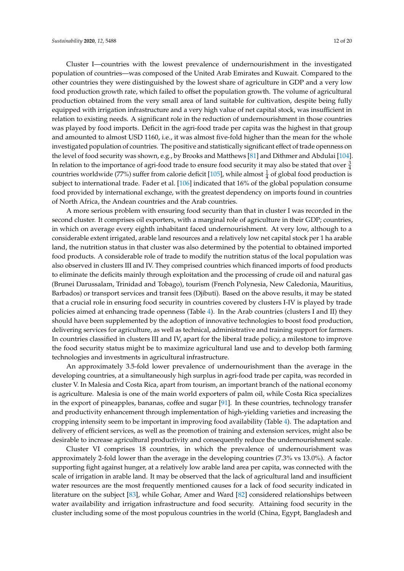Cluster I—countries with the lowest prevalence of undernourishment in the investigated population of countries—was composed of the United Arab Emirates and Kuwait. Compared to the other countries they were distinguished by the lowest share of agriculture in GDP and a very low food production growth rate, which failed to offset the population growth. The volume of agricultural production obtained from the very small area of land suitable for cultivation, despite being fully equipped with irrigation infrastructure and a very high value of net capital stock, was insufficient in relation to existing needs. A significant role in the reduction of undernourishment in those countries was played by food imports. Deficit in the agri-food trade per capita was the highest in that group and amounted to almost USD 1160, i.e., it was almost five-fold higher than the mean for the whole investigated population of countries. The positive and statistically significant effect of trade openness on the level of food security was shown, e.g., by Brooks and Matthews [\[81\]](#page-17-16) and Dithmer and Abdulai [\[104\]](#page-18-10). In relation to the importance of agri-food trade to ensure food security it may also be stated that over  $\frac{3}{4}$ countries worldwide (77%) suffer from calorie deficit [\[105\]](#page-18-11), while almost  $\frac{1}{4}$  of global food production is subject to international trade. Fader et al. [\[106\]](#page-18-12) indicated that 16% of the global population consume food provided by international exchange, with the greatest dependency on imports found in countries of North Africa, the Andean countries and the Arab countries.

A more serious problem with ensuring food security than that in cluster I was recorded in the second cluster. It comprises oil exporters, with a marginal role of agriculture in their GDP; countries, in which on average every eighth inhabitant faced undernourishment. At very low, although to a considerable extent irrigated, arable land resources and a relatively low net capital stock per 1 ha arable land, the nutrition status in that cluster was also determined by the potential to obtained imported food products. A considerable role of trade to modify the nutrition status of the local population was also observed in clusters III and IV. They comprised countries which financed imports of food products to eliminate the deficits mainly through exploitation and the processing of crude oil and natural gas (Brunei Darussalam, Trinidad and Tobago), tourism (French Polynesia, New Caledonia, Mauritius, Barbados) or transport services and transit fees (Djibuti). Based on the above results, it may be stated that a crucial role in ensuring food security in countries covered by clusters I-IV is played by trade policies aimed at enhancing trade openness (Table [4\)](#page-10-0). In the Arab countries (clusters I and II) they should have been supplemented by the adoption of innovative technologies to boost food production, delivering services for agriculture, as well as technical, administrative and training support for farmers. In countries classified in clusters III and IV, apart for the liberal trade policy, a milestone to improve the food security status might be to maximize agricultural land use and to develop both farming technologies and investments in agricultural infrastructure.

An approximately 3.5-fold lower prevalence of undernourishment than the average in the developing countries, at a simultaneously high surplus in agri-food trade per capita, was recorded in cluster V. In Malesia and Costa Rica, apart from tourism, an important branch of the national economy is agriculture. Malesia is one of the main world exporters of palm oil, while Costa Rica specializes in the export of pineapples, bananas, coffee and sugar [\[91\]](#page-18-13). In these countries, technology transfer and productivity enhancement through implementation of high-yielding varieties and increasing the cropping intensity seem to be important in improving food availability (Table [4\)](#page-10-0). The adaptation and delivery of efficient services, as well as the promotion of training and extension services, might also be desirable to increase agricultural productivity and consequently reduce the undernourishment scale.

Cluster VI comprises 18 countries, in which the prevalence of undernourishment was approximately 2-fold lower than the average in the developing countries (7.3% vs 13.0%). A factor supporting fight against hunger, at a relatively low arable land area per capita, was connected with the scale of irrigation in arable land. It may be observed that the lack of agricultural land and insufficient water resources are the most frequently mentioned causes for a lack of food security indicated in literature on the subject [\[83\]](#page-17-14), while Gohar, Amer and Ward [\[82\]](#page-17-17) considered relationships between water availability and irrigation infrastructure and food security. Attaining food security in the cluster including some of the most populous countries in the world (China, Egypt, Bangladesh and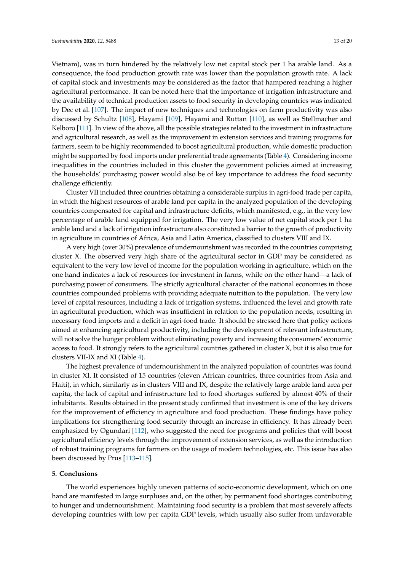Vietnam), was in turn hindered by the relatively low net capital stock per 1 ha arable land. As a consequence, the food production growth rate was lower than the population growth rate. A lack of capital stock and investments may be considered as the factor that hampered reaching a higher agricultural performance. It can be noted here that the importance of irrigation infrastructure and the availability of technical production assets to food security in developing countries was indicated by Dec et al. [\[107\]](#page-18-14). The impact of new techniques and technologies on farm productivity was also discussed by Schultz [\[108\]](#page-18-15), Hayami [\[109\]](#page-18-16), Hayami and Ruttan [\[110\]](#page-18-17), as well as Stellmacher and Kelboro [\[111\]](#page-19-0). In view of the above, all the possible strategies related to the investment in infrastructure and agricultural research, as well as the improvement in extension services and training programs for farmers, seem to be highly recommended to boost agricultural production, while domestic production might be supported by food imports under preferential trade agreements (Table [4\)](#page-10-0). Considering income inequalities in the countries included in this cluster the government policies aimed at increasing the households' purchasing power would also be of key importance to address the food security challenge efficiently.

Cluster VII included three countries obtaining a considerable surplus in agri-food trade per capita, in which the highest resources of arable land per capita in the analyzed population of the developing countries compensated for capital and infrastructure deficits, which manifested, e.g., in the very low percentage of arable land equipped for irrigation. The very low value of net capital stock per 1 ha arable land and a lack of irrigation infrastructure also constituted a barrier to the growth of productivity in agriculture in countries of Africa, Asia and Latin America, classified to clusters VIII and IX.

A very high (over 30%) prevalence of undernourishment was recorded in the countries comprising cluster X. The observed very high share of the agricultural sector in GDP may be considered as equivalent to the very low level of income for the population working in agriculture, which on the one hand indicates a lack of resources for investment in farms, while on the other hand—a lack of purchasing power of consumers. The strictly agricultural character of the national economies in those countries compounded problems with providing adequate nutrition to the population. The very low level of capital resources, including a lack of irrigation systems, influenced the level and growth rate in agricultural production, which was insufficient in relation to the population needs, resulting in necessary food imports and a deficit in agri-food trade. It should be stressed here that policy actions aimed at enhancing agricultural productivity, including the development of relevant infrastructure, will not solve the hunger problem without eliminating poverty and increasing the consumers' economic access to food. It strongly refers to the agricultural countries gathered in cluster X, but it is also true for clusters VII-IX and XI (Table [4\)](#page-10-0).

The highest prevalence of undernourishment in the analyzed population of countries was found in cluster XI. It consisted of 15 countries (eleven African countries, three countries from Asia and Haiti), in which, similarly as in clusters VIII and IX, despite the relatively large arable land area per capita, the lack of capital and infrastructure led to food shortages suffered by almost 40% of their inhabitants. Results obtained in the present study confirmed that investment is one of the key drivers for the improvement of efficiency in agriculture and food production. These findings have policy implications for strengthening food security through an increase in efficiency. It has already been emphasized by Ogundari [\[112\]](#page-19-1), who suggested the need for programs and policies that will boost agricultural efficiency levels through the improvement of extension services, as well as the introduction of robust training programs for farmers on the usage of modern technologies, etc. This issue has also been discussed by Prus [\[113–](#page-19-2)[115\]](#page-19-3).

#### **5. Conclusions**

The world experiences highly uneven patterns of socio-economic development, which on one hand are manifested in large surpluses and, on the other, by permanent food shortages contributing to hunger and undernourishment. Maintaining food security is a problem that most severely affects developing countries with low per capita GDP levels, which usually also suffer from unfavorable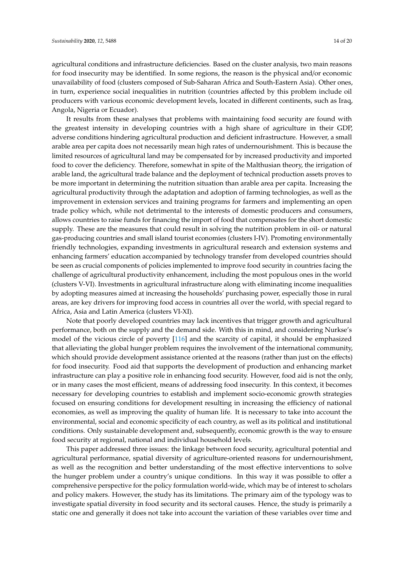agricultural conditions and infrastructure deficiencies. Based on the cluster analysis, two main reasons for food insecurity may be identified. In some regions, the reason is the physical and/or economic unavailability of food (clusters composed of Sub-Saharan Africa and South-Eastern Asia). Other ones, in turn, experience social inequalities in nutrition (countries affected by this problem include oil producers with various economic development levels, located in different continents, such as Iraq, Angola, Nigeria or Ecuador).

It results from these analyses that problems with maintaining food security are found with the greatest intensity in developing countries with a high share of agriculture in their GDP, adverse conditions hindering agricultural production and deficient infrastructure. However, a small arable area per capita does not necessarily mean high rates of undernourishment. This is because the limited resources of agricultural land may be compensated for by increased productivity and imported food to cover the deficiency. Therefore, somewhat in spite of the Malthusian theory, the irrigation of arable land, the agricultural trade balance and the deployment of technical production assets proves to be more important in determining the nutrition situation than arable area per capita. Increasing the agricultural productivity through the adaptation and adoption of farming technologies, as well as the improvement in extension services and training programs for farmers and implementing an open trade policy which, while not detrimental to the interests of domestic producers and consumers, allows countries to raise funds for financing the import of food that compensates for the short domestic supply. These are the measures that could result in solving the nutrition problem in oil- or natural gas-producing countries and small island tourist economies (clusters I-IV). Promoting environmentally friendly technologies, expanding investments in agricultural research and extension systems and enhancing farmers' education accompanied by technology transfer from developed countries should be seen as crucial components of policies implemented to improve food security in countries facing the challenge of agricultural productivity enhancement, including the most populous ones in the world (clusters V-VI). Investments in agricultural infrastructure along with eliminating income inequalities by adopting measures aimed at increasing the households' purchasing power, especially those in rural areas, are key drivers for improving food access in countries all over the world, with special regard to Africa, Asia and Latin America (clusters VI-XI).

Note that poorly developed countries may lack incentives that trigger growth and agricultural performance, both on the supply and the demand side. With this in mind, and considering Nurkse's model of the vicious circle of poverty [\[116\]](#page-19-4) and the scarcity of capital, it should be emphasized that alleviating the global hunger problem requires the involvement of the international community, which should provide development assistance oriented at the reasons (rather than just on the effects) for food insecurity. Food aid that supports the development of production and enhancing market infrastructure can play a positive role in enhancing food security. However, food aid is not the only, or in many cases the most efficient, means of addressing food insecurity. In this context, it becomes necessary for developing countries to establish and implement socio-economic growth strategies focused on ensuring conditions for development resulting in increasing the efficiency of national economies, as well as improving the quality of human life. It is necessary to take into account the environmental, social and economic specificity of each country, as well as its political and institutional conditions. Only sustainable development and, subsequently, economic growth is the way to ensure food security at regional, national and individual household levels.

This paper addressed three issues: the linkage between food security, agricultural potential and agricultural performance, spatial diversity of agriculture-oriented reasons for undernourishment, as well as the recognition and better understanding of the most effective interventions to solve the hunger problem under a country's unique conditions. In this way it was possible to offer a comprehensive perspective for the policy formulation world-wide, which may be of interest to scholars and policy makers. However, the study has its limitations. The primary aim of the typology was to investigate spatial diversity in food security and its sectoral causes. Hence, the study is primarily a static one and generally it does not take into account the variation of these variables over time and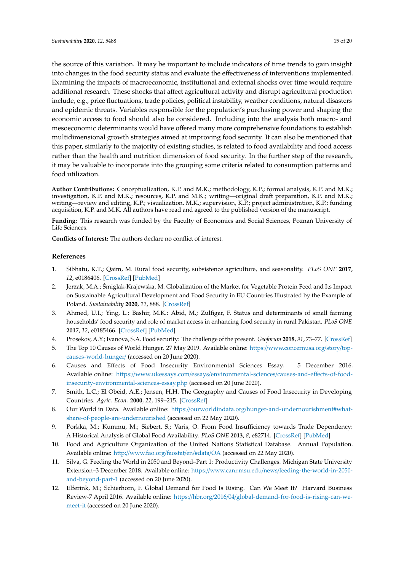the source of this variation. It may be important to include indicators of time trends to gain insight into changes in the food security status and evaluate the effectiveness of interventions implemented. Examining the impacts of macroeconomic, institutional and external shocks over time would require additional research. These shocks that affect agricultural activity and disrupt agricultural production include, e.g., price fluctuations, trade policies, political instability, weather conditions, natural disasters and epidemic threats. Variables responsible for the population's purchasing power and shaping the economic access to food should also be considered. Including into the analysis both macro- and mesoeconomic determinants would have offered many more comprehensive foundations to establish multidimensional growth strategies aimed at improving food security. It can also be mentioned that this paper, similarly to the majority of existing studies, is related to food availability and food access rather than the health and nutrition dimension of food security. In the further step of the research, it may be valuable to incorporate into the grouping some criteria related to consumption patterns and food utilization.

**Author Contributions:** Conceptualization, K.P. and M.K.; methodology, K.P.; formal analysis, K.P. and M.K.; investigation, K.P. and M.K.; resources, K.P. and M.K.; writing—original draft preparation, K.P. and M.K.; writing—review and editing, K.P.; visualization, M.K.; supervision, K.P.; project administration, K.P.; funding acquisition, K.P. and M.K. All authors have read and agreed to the published version of the manuscript.

Funding: This research was funded by the Faculty of Economics and Social Sciences, Poznań University of Life Sciences.

**Conflicts of Interest:** The authors declare no conflict of interest.

#### **References**

- <span id="page-14-10"></span><span id="page-14-0"></span>1. Sibhatu, K.T.; Qaim, M. Rural food security, subsistence agriculture, and seasonality. *PLoS ONE* **2017**, *12*, e0186406. [\[CrossRef\]](http://dx.doi.org/10.1371/journal.pone.0186406) [\[PubMed\]](http://www.ncbi.nlm.nih.gov/pubmed/29049329)
- <span id="page-14-1"></span>2. Jerzak, M.A.; Smiglak-Krajewska, M. Globalization of the Market for Vegetable Protein Feed and Its Impact ´ on Sustainable Agricultural Development and Food Security in EU Countries Illustrated by the Example of Poland. *Sustainability* **2020**, *12*, 888. [\[CrossRef\]](http://dx.doi.org/10.3390/su12030888)
- <span id="page-14-2"></span>3. Ahmed, U.I.; Ying, L.; Bashir, M.K.; Abid, M.; Zulfigar, F. Status and determinants of small farming households' food security and role of market access in enhancing food security in rural Pakistan. *PLoS ONE* **2017**, *12*, e0185466. [\[CrossRef\]](http://dx.doi.org/10.1371/journal.pone.0185466) [\[PubMed\]](http://www.ncbi.nlm.nih.gov/pubmed/29077719)
- <span id="page-14-3"></span>4. Prosekov, A.Y.; Ivanova, S.A. Food security: The challenge of the present. *Geoforum* **2018**, *91*, 73–77. [\[CrossRef\]](http://dx.doi.org/10.1016/j.geoforum.2018.02.030)
- 5. The Top 10 Causes of World Hunger. 27 May 2019. Available online: https://[www.concernusa.org](https://www.concernusa.org/story/top-causes-world-hunger/)/story/top[causes-world-hunger](https://www.concernusa.org/story/top-causes-world-hunger/)/ (accessed on 20 June 2020).
- 6. Causes and Effects of Food Insecurity Environmental Sciences Essay. 5 December 2016. Available online: https://www.ukessays.com/essays/[environmental-sciences](https://www.ukessays.com/essays/environmental-sciences/causes-and-effects-of-food-insecurity-environmental-sciences-essay.php)/causes-and-effects-of-food[insecurity-environmental-sciences-essay.php](https://www.ukessays.com/essays/environmental-sciences/causes-and-effects-of-food-insecurity-environmental-sciences-essay.php) (accessed on 20 June 2020).
- <span id="page-14-4"></span>7. Smith, L.C.; El Obeid, A.E.; Jensen, H.H. The Geography and Causes of Food Insecurity in Developing Countries. *Agric. Econ.* **2000**, *22*, 199–215. [\[CrossRef\]](http://dx.doi.org/10.1111/j.1574-0862.2000.tb00018.x)
- <span id="page-14-5"></span>8. Our World in Data. Available online: https://ourworldindata.org/[hunger-and-undernourishment#what](https://ourworldindata.org/hunger-and-undernourishment#what-share-of-people-are-undernourished)[share-of-people-are-undernourished](https://ourworldindata.org/hunger-and-undernourishment#what-share-of-people-are-undernourished) (accessed on 22 May 2020).
- <span id="page-14-6"></span>9. Porkka, M.; Kummu, M.; Siebert, S.; Varis, O. From Food Insufficiency towards Trade Dependency: A Historical Analysis of Global Food Availability. *PLoS ONE* **2013**, *8*, e82714. [\[CrossRef\]](http://dx.doi.org/10.1371/journal.pone.0082714) [\[PubMed\]](http://www.ncbi.nlm.nih.gov/pubmed/24367545)
- <span id="page-14-7"></span>10. Food and Agriculture Organization of the United Nations Statistical Database. Annual Population. Available online: http://[www.fao.org](http://www.fao.org/faostat/en/#data/OA)/faostat/en/#data/OA (accessed on 22 May 2020).
- <span id="page-14-8"></span>11. Silva, G. Feeding the World in 2050 and Beyond–Part 1: Productivity Challenges. Michigan State University Extension–3 December 2018. Available online: https://www.canr.msu.edu/news/[feeding-the-world-in-2050](https://www.canr.msu.edu/news/feeding-the-world-in-2050-and-beyond-part-1) [and-beyond-part-1](https://www.canr.msu.edu/news/feeding-the-world-in-2050-and-beyond-part-1) (accessed on 20 June 2020).
- <span id="page-14-9"></span>12. Elferink, M.; Schierhorn, F. Global Demand for Food Is Rising. Can We Meet It? Harvard Business Review-7 April 2016. Available online: https://hbr.org/2016/04/[global-demand-for-food-is-rising-can-we](https://hbr.org/2016/04/global-demand-for-food-is-rising-can-we-meet-it)[meet-it](https://hbr.org/2016/04/global-demand-for-food-is-rising-can-we-meet-it) (accessed on 20 June 2020).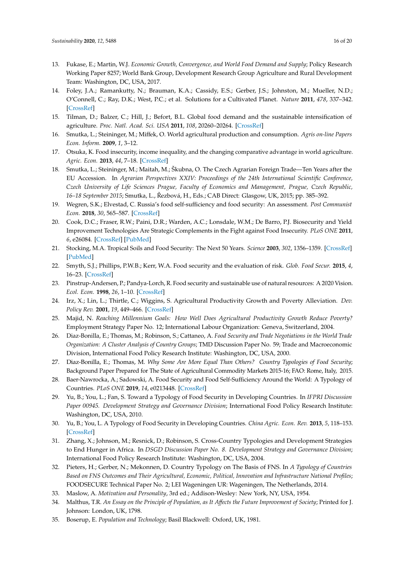- <span id="page-15-0"></span>13. Fukase, E.; Martin, W.J. *Economic Growth, Convergence, and World Food Demand and Supply*; Policy Research Working Paper 8257; World Bank Group, Development Research Group Agriculture and Rural Development Team: Washington, DC, USA, 2017.
- <span id="page-15-1"></span>14. Foley, J.A.; Ramankutty, N.; Brauman, K.A.; Cassidy, E.S.; Gerber, J.S.; Johnston, M.; Mueller, N.D.; O'Connell, C.; Ray, D.K.; West, P.C.; et al. Solutions for a Cultivated Planet. *Nature* **2011**, *478*, 337–342. [\[CrossRef\]](http://dx.doi.org/10.1038/nature10452)
- <span id="page-15-2"></span>15. Tilman, D.; Balzer, C.; Hill, J.; Befort, B.L. Global food demand and the sustainable intensification of agriculture. *Proc. Natl. Acad. Sci. USA* **2011**, *108*, 20260–20264. [\[CrossRef\]](http://dx.doi.org/10.1073/pnas.1116437108)
- <span id="page-15-3"></span>16. Smutka, L.; Steininger, M.; Miffek, O. World agricultural production and consumption. *Agris on-line Papers Econ. Inform.* **2009**, *1*, 3–12.
- <span id="page-15-9"></span>17. Otsuka, K. Food insecurity, income inequality, and the changing comparative advantage in world agriculture. *Agric. Econ.* **2013**, *44*, 7–18. [\[CrossRef\]](http://dx.doi.org/10.1111/agec.12046)
- 18. Smutka, L.; Steininger, M.; Maitah, M.; Škubna, O. The Czech Agrarian Foreign Trade—Ten Years after the EU Accession. In *Agrarian Perspectives XXIV: Proceedings of the 24th International Scientific Conference, Czech University of Life Sciences Prague, Faculty of Economics and Management, Prague, Czech Republic,* 16–18 September 2015; Smutka, L., Řezbová, H., Eds.; CAB Direct: Glasgow, UK, 2015; pp. 385–392.
- <span id="page-15-4"></span>19. Wegren, S.K.; Elvestad, C. Russia's food self-sufficiency and food security: An assessment. *Post Communist Econ.* **2018**, *30*, 565–587. [\[CrossRef\]](http://dx.doi.org/10.1080/14631377.2018.1470854)
- <span id="page-15-5"></span>20. Cook, D.C.; Fraser, R.W.; Paini, D.R.; Warden, A.C.; Lonsdale, W.M.; De Barro, P.J. Biosecurity and Yield Improvement Technologies Are Strategic Complements in the Fight against Food Insecurity. *PLoS ONE* **2011**, *6*, e26084. [\[CrossRef\]](http://dx.doi.org/10.1371/journal.pone.0026084) [\[PubMed\]](http://www.ncbi.nlm.nih.gov/pubmed/22022517)
- <span id="page-15-6"></span>21. Stocking, M.A. Tropical Soils and Food Security: The Next 50 Years. *Science* **2003**, *302*, 1356–1359. [\[CrossRef\]](http://dx.doi.org/10.1126/science.1088579) [\[PubMed\]](http://www.ncbi.nlm.nih.gov/pubmed/14631030)
- <span id="page-15-7"></span>22. Smyth, S.J.; Phillips, P.W.B.; Kerr, W.A. Food security and the evaluation of risk. *Glob. Food Secur.* **2015**, *4*, 16–23. [\[CrossRef\]](http://dx.doi.org/10.1016/j.gfs.2014.08.001)
- <span id="page-15-8"></span>23. Pinstrup-Andersen, P.; Pandya-Lorch, R. Food security and sustainable use of natural resources: A 2020 Vision. *Ecol. Econ.* **1998**, *26*, 1–10. [\[CrossRef\]](http://dx.doi.org/10.1016/S0921-8009(97)00067-0)
- <span id="page-15-10"></span>24. Irz, X.; Lin, L.; Thirtle, C.; Wiggins, S. Agricultural Productivity Growth and Poverty Alleviation. *Dev. Policy Rev.* **2001**, *19*, 449–466. [\[CrossRef\]](http://dx.doi.org/10.1111/1467-7679.00144)
- <span id="page-15-11"></span>25. Majid, N. *Reaching Millennium Goals: How Well Does Agricultural Productivity Growth Reduce Poverty?* Employment Strategy Paper No. 12; International Labour Organization: Geneva, Switzerland, 2004.
- <span id="page-15-12"></span>26. Diaz-Bonilla, E.; Thomas, M.; Robinson, S.; Cattaneo, A. *Food Security and Trade Negotiations in the World Trade Organization: A Cluster Analysis of Country Groups*; TMD Discussion Paper No. 59; Trade and Macroeconomic Division, International Food Policy Research Institute: Washington, DC, USA, 2000.
- <span id="page-15-13"></span>27. Diaz-Bonilla, E.; Thomas, M. *Why Some Are More Equal Than Others? Country Typologies of Food Security*; Background Paper Prepared for The State of Agricultural Commodity Markets 2015-16; FAO: Rome, Italy, 2015.
- <span id="page-15-14"></span>28. Baer-Nawrocka, A.; Sadowski, A. Food Security and Food Self-Sufficiency Around the World: A Typology of Countries. *PLoS ONE* **2019**, *14*, e0213448. [\[CrossRef\]](http://dx.doi.org/10.1371/journal.pone.0213448)
- <span id="page-15-15"></span>29. Yu, B.; You, L.; Fan, S. Toward a Typology of Food Security in Developing Countries. In *IFPRI Discussion Paper 00945. Development Strategy and Governance Division*; International Food Policy Research Institute: Washington, DC, USA, 2010.
- <span id="page-15-16"></span>30. Yu, B.; You, L. A Typology of Food Security in Developing Countries. *China Agric. Econ. Rev.* **2013**, *5*, 118–153. [\[CrossRef\]](http://dx.doi.org/10.1108/17561371311294810)
- <span id="page-15-17"></span>31. Zhang, X.; Johnson, M.; Resnick, D.; Robinson, S. Cross-Country Typologies and Development Strategies to End Hunger in Africa. In *DSGD Discussion Paper No. 8. Development Strategy and Governance Division*; International Food Policy Research Institute: Washington, DC, USA, 2004.
- <span id="page-15-18"></span>32. Pieters, H.; Gerber, N.; Mekonnen, D. Country Typology on The Basis of FNS. In *A Typology of Countries Based on FNS Outcomes and Their Agricultural, Economic, Political, Innovation and Infrastructure National Profiles*; FOODSECURE Technical Paper No. 2; LEI Wageningen UR: Wageningen, The Netherlands, 2014.
- <span id="page-15-19"></span>33. Maslow, A. *Motivation and Personality*, 3rd ed.; Addison-Wesley: New York, NY, USA, 1954.
- <span id="page-15-20"></span>34. Malthus, T.R. *An Essay on the Principle of Population, as It A*ff*ects the Future Improvement of Society*; Printed for J. Johnson: London, UK, 1798.
- <span id="page-15-21"></span>35. Boserup, E. *Population and Technology*; Basil Blackwell: Oxford, UK, 1981.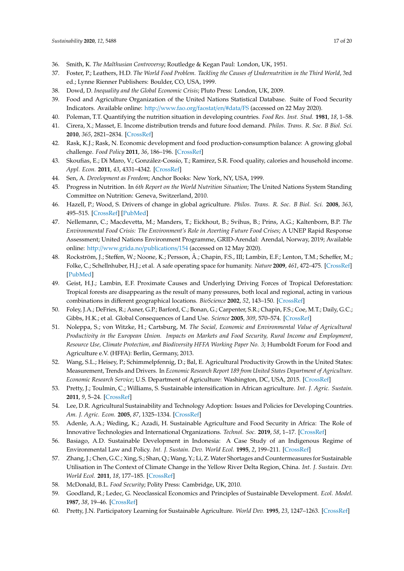- <span id="page-16-18"></span><span id="page-16-0"></span>36. Smith, K. *The Malthusian Controversy*; Routledge & Kegan Paul: London, UK, 1951.
- <span id="page-16-1"></span>37. Foster, P.; Leathers, H.D. *The World Food Problem. Tackling the Causes of Undernutrition in the Third World*, 3rd ed.; Lynne Rienner Publishers: Boulder, CO, USA, 1999.
- <span id="page-16-2"></span>38. Dowd, D. *Inequality and the Global Economic Crisis*; Pluto Press: London, UK, 2009.
- <span id="page-16-3"></span>39. Food and Agriculture Organization of the United Nations Statistical Database. Suite of Food Security Indicators. Available online: http://[www.fao.org](http://www.fao.org/faostat/en/#data/FS)/faostat/en/#data/FS (accessed on 22 May 2020).
- <span id="page-16-4"></span>40. Poleman, T.T. Quantifying the nutrition situation in developing countries. *Food Res. Inst. Stud.* **1981**, *18*, 1–58.
- <span id="page-16-5"></span>41. Cirera, X.; Masset, E. Income distribution trends and future food demand. *Philos. Trans. R. Soc. B Biol. Sci.* **2010**, *365*, 2821–2834. [\[CrossRef\]](http://dx.doi.org/10.1098/rstb.2010.0164)
- 42. Rask, K.J.; Rask, N. Economic development and food production-consumption balance: A growing global challenge. *Food Policy* **2011**, *36*, 186–196. [\[CrossRef\]](http://dx.doi.org/10.1016/j.foodpol.2010.11.015)
- <span id="page-16-6"></span>43. Skoufias, E.; Di Maro, V.; González-Cossío, T.; Ramirez, S.R. Food quality, calories and household income. *Appl. Econ.* **2011**, *43*, 4331–4342. [\[CrossRef\]](http://dx.doi.org/10.1080/00036846.2010.491454)
- <span id="page-16-7"></span>44. Sen, A. *Development as Freedom*; Anchor Books: New York, NY, USA, 1999.
- <span id="page-16-8"></span>45. Progress in Nutrition. In *6th Report on the World Nutrition Situation*; The United Nations System Standing Committee on Nutrition: Geneva, Switzerland, 2010.
- <span id="page-16-9"></span>46. Hazell, P.; Wood, S. Drivers of change in global agriculture. *Philos. Trans. R. Soc. B Biol. Sci.* **2008**, *363*, 495–515. [\[CrossRef\]](http://dx.doi.org/10.1098/rstb.2007.2166) [\[PubMed\]](http://www.ncbi.nlm.nih.gov/pubmed/17656343)
- <span id="page-16-10"></span>47. Nellemann, C.; Macdevetta, M.; Manders, T.; Eickhout, B.; Svihus, B.; Prins, A.G.; Kaltenborn, B.P. *The Environmental Food Crisis: The Environment's Role in Averting Future Food Crises*; A UNEP Rapid Response Assessment; United Nations Environment Programme, GRID-Arendal: Arendal, Norway, 2019; Available online: http://[www.grida.no](http://www.grida.no/publications/154)/publications/154 (accessed on 12 May 2020).
- <span id="page-16-11"></span>48. Rockström, J.; Steffen, W.; Noone, K.; Persson, Å.; Chapin, F.S., III; Lambin, E.F.; Lenton, T.M.; Scheffer, M.; Folke, C.; Schellnhuber, H.J.; et al. A safe operating space for humanity. *Nature* **2009**, *461*, 472–475. [\[CrossRef\]](http://dx.doi.org/10.1038/461472a) [\[PubMed\]](http://www.ncbi.nlm.nih.gov/pubmed/19779433)
- <span id="page-16-12"></span>49. Geist, H.J.; Lambin, E.F. Proximate Causes and Underlying Driving Forces of Tropical Deforestation: Tropical forests are disappearing as the result of many pressures, both local and regional, acting in various combinations in different geographical locations. *BioScience* **2002**, *52*, 143–150. [\[CrossRef\]](http://dx.doi.org/10.1641/0006-3568(2002)052[0143:PCAUDF]2.0.CO;2)
- <span id="page-16-13"></span>50. Foley, J.A.; DeFries, R.; Asner, G.P.; Barford, C.; Bonan, G.; Carpenter, S.R.; Chapin, F.S.; Coe, M.T.; Daily, G.C.; Gibbs, H.K.; et al. Global Consequences of Land Use. *Science* **2005**, *309*, 570–574. [\[CrossRef\]](http://dx.doi.org/10.1126/science.1111772)
- <span id="page-16-14"></span>51. Noleppa, S.; von Witzke, H.; Cartsburg, M. *The Social, Economic and Environmental Value of Agricultural Productivity in the European Union. Impacts on Markets and Food Security, Rural Income and Employment, Resource Use, Climate Protection, and Biodiversity HFFA Working Paper No. 3*; Humboldt Forum for Food and Agriculture e.V. (HFFA): Berlin, Germany, 2013.
- 52. Wang, S.L.; Heisey, P.; Schimmelpfennig, D.; Bal, E. Agricultural Productivity Growth in the United States: Measurement, Trends and Drivers. In *Economic Research Report 189 from United States Department of Agriculture. Economic Research Service*; U.S. Department of Agriculture: Washington, DC, USA, 2015. [\[CrossRef\]](http://dx.doi.org/10.22004/ag.econ.207954)
- 53. Pretty, J.; Toulmin, C.; Williams, S. Sustainable intensification in African agriculture. *Int. J. Agric. Sustain.* **2011**, *9*, 5–24. [\[CrossRef\]](http://dx.doi.org/10.3763/ijas.2010.0583)
- 54. Lee, D.R. Agricultural Sustainability and Technology Adoption: Issues and Policies for Developing Countries. *Am. J. Agric. Econ.* **2005**, *87*, 1325–1334. [\[CrossRef\]](http://dx.doi.org/10.1111/j.1467-8276.2005.00826.x)
- 55. Adenle, A.A.; Weding, K.; Azadi, H. Sustainable Agriculture and Food Security in Africa: The Role of Innovative Technologies and International Organizations. *Technol. Soc.* **2019**, *58*, 1–17. [\[CrossRef\]](http://dx.doi.org/10.1016/j.techsoc.2019.05.007)
- 56. Basiago, A.D. Sustainable Development in Indonesia: A Case Study of an Indigenous Regime of Environmental Law and Policy. *Int. J. Sustain. Dev. World Ecol.* **1995**, *2*, 199–211. [\[CrossRef\]](http://dx.doi.org/10.1080/13504509509469900)
- <span id="page-16-15"></span>57. Zhang, J.; Chen, G.C.; Xing, S.; Shan, Q.; Wang, Y.; Li, Z. Water Shortages and Countermeasures for Sustainable Utilisation in The Context of Climate Change in the Yellow River Delta Region, China. *Int. J. Sustain. Dev. World Ecol.* **2011**, *18*, 177–185. [\[CrossRef\]](http://dx.doi.org/10.1080/13504509.2011.556814)
- <span id="page-16-16"></span>58. McDonald, B.L. *Food Security*; Polity Press: Cambridge, UK, 2010.
- <span id="page-16-17"></span>59. Goodland, R.; Ledec, G. Neoclassical Economics and Principles of Sustainable Development. *Ecol. Model.* **1987**, *38*, 19–46. [\[CrossRef\]](http://dx.doi.org/10.1016/0304-3800(87)90043-3)
- 60. Pretty, J.N. Participatory Learning for Sustainable Agriculture. *World Dev.* **1995**, *23*, 1247–1263. [\[CrossRef\]](http://dx.doi.org/10.1016/0305-750X(95)00046-F)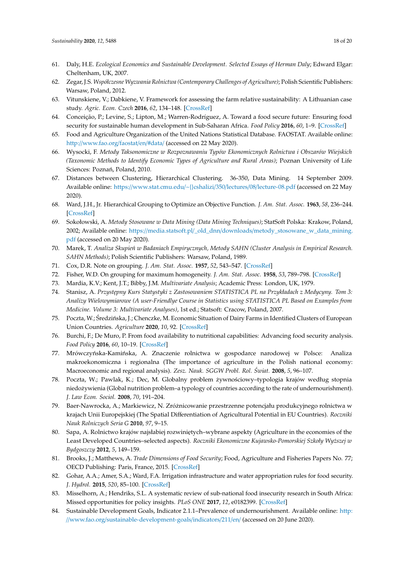- 61. Daly, H.E. *Ecological Economics and Sustainable Development. Selected Essays of Herman Daly*; Edward Elgar: Cheltenham, UK, 2007.
- 62. Zegar, J.S. *Współczesne Wyzwania Rolnictwa (Contemporary Challenges of Agriculture)*; Polish Scientific Publishers: Warsaw, Poland, 2012.
- <span id="page-17-0"></span>63. Vitunskiene, V.; Dabkiene, V. Framework for assessing the farm relative sustainability: A Lithuanian case study. *Agric. Econ. Czech* **2016**, *62*, 134–148. [\[CrossRef\]](http://dx.doi.org/10.17221/125/2015-AGRICECON)
- <span id="page-17-1"></span>64. Conceição, P.; Levine, S.; Lipton, M.; Warren-Rodríguez, A. Toward a food secure future: Ensuring food security for sustainable human development in Sub-Saharan Africa. *Food Policy* **2016**, *60*, 1–9. [\[CrossRef\]](http://dx.doi.org/10.1016/j.foodpol.2016.02.003)
- <span id="page-17-2"></span>65. Food and Agriculture Organization of the United Nations Statistical Database. FAOSTAT. Available online: http://[www.fao.org](http://www.fao.org/faostat/en/#data/)/faostat/en/#data/ (accessed on 22 May 2020).
- <span id="page-17-3"></span>66. Wysocki, F. *Metody Taksonomiczne w Rozpoznawaniu Typów Ekonomicznych Rolnictwa i Obszarów Wiejskich (Taxonomic Methods to Identify Economic Types of Agriculture and Rural Areas)*; Poznan University of Life Sciences: Poznań, Poland, 2010.
- <span id="page-17-4"></span>67. Distances between Clustering, Hierarchical Clustering. 36-350, Data Mining. 14 September 2009. Available online: https://[www.stat.cmu.edu](https://www.stat.cmu.edu/~{}cshalizi/350/lectures/08/lecture-08.pdf)/~{}cshalizi/350/lectures/08/lecture-08.pdf (accessed on 22 May 2020).
- <span id="page-17-5"></span>68. Ward, J.H., Jr. Hierarchical Grouping to Optimize an Objective Function. *J. Am. Stat. Assoc.* **1963**, *58*, 236–244. [\[CrossRef\]](http://dx.doi.org/10.1080/01621459.1963.10500845)
- <span id="page-17-6"></span>69. Sokołowski, A. *Metody Stosowane w Data Mining (Data Mining Techniques)*; StatSoft Polska: Krakow, Poland, 2002; Available online: https://media.statsoft.pl/\_old\_dnn/downloads/[metody\\_stosowane\\_w\\_data\\_mining.](https://media.statsoft.pl/_old_dnn/downloads/metody_stosowane_w_data_mining.pdf) [pdf](https://media.statsoft.pl/_old_dnn/downloads/metody_stosowane_w_data_mining.pdf) (accessed on 20 May 2020).
- <span id="page-17-7"></span>70. Marek, T. Analiza Skupień w Badaniach Empirycznych, Metody SAHN (Cluster Analysis in Empirical Research. *SAHN Methods)*; Polish Scientific Publishers: Warsaw, Poland, 1989.
- <span id="page-17-8"></span>71. Cox, D.R. Note on grouping. *J. Am. Stat. Assoc.* **1957**, *52*, 543–547. [\[CrossRef\]](http://dx.doi.org/10.1080/01621459.1957.10501411)
- <span id="page-17-9"></span>72. Fisher, W.D. On grouping for maximum homogeneity. *J. Am. Stat. Assoc.* **1958**, *53*, 789–798. [\[CrossRef\]](http://dx.doi.org/10.1080/01621459.1958.10501479)
- <span id="page-17-10"></span>73. Mardia, K.V.; Kent, J.T.; Bibby, J.M. *Multivariate Analysis*; Academic Press: London, UK, 1979.
- <span id="page-17-11"></span>74. Stanisz, A. Przystępny Kurs Statystyki z Zastosowaniem STATISTICA PL na Przykładach z Medycyny. Tom 3: *Analizy Wielowymiarowe (A user-Friendlye Course in Statistics using STATISTICA PL Based on Examples from Medicine. Volume 3: Multivariate Analyses)*, 1st ed.; Statsoft: Cracow, Poland, 2007.
- <span id="page-17-12"></span>75. Poczta, W.; Średzińska, J.; Chenczke, M. Economic Situation of Dairy Farms in Identified Clusters of European Union Countries. *Agriculture* **2020**, *10*, 92. [\[CrossRef\]](http://dx.doi.org/10.3390/agriculture10040092)
- <span id="page-17-13"></span>76. Burchi, F.; De Muro, P. From food availability to nutritional capabilities: Advancing food security analysis. *Food Policy* **2016**, *60*, 10–19. [\[CrossRef\]](http://dx.doi.org/10.1016/j.foodpol.2015.03.008)
- 77. Mrówczyńska-Kamińska, A. Znaczenie rolnictwa w gospodarce narodowej w Polsce: Analiza makroekonomiczna i regionalna (The importance of agriculture in the Polish national economy: Macroeconomic and regional analysis). *Zesz. Nauk. SGGW Probl. Rol. Swiat. ´* **2008**, *5*, 96–107.
- 78. Poczta, W.; Pawlak, K.; Dec, M. Globalny problem ˙zywno´sciowy–typologia krajów według stopnia niedo żywienia (Global nutrition problem–a typology of countries according to the rate of undernourishment). *J. Law Econ. Sociol.* **2008**, *70*, 191–204.
- 79. Baer-Nawrocka, A.; Markiewicz, N. Zróżnicowanie przestrzenne potencjału produkcyjnego rolnictwa w krajach Unii Europejskiej (The Spatial Differentiation of Agricultural Potential in EU Countries). *Roczniki Nauk Rolniczych Seria G* **2010**, *97*, 9–15.
- 80. Sapa, A. Rolnictwo krajów najsłabiej rozwiniętych–wybrane aspekty (Agriculture in the economies of the Least Developed Countries–selected aspects). *Roczniki Ekonomiczne Kujawsko-Pomorskiej Szkoły Wy˙zszej w Bydgoszczy* **2012**, *5*, 149–159.
- <span id="page-17-16"></span>81. Brooks, J.; Matthews, A. *Trade Dimensions of Food Security*; Food, Agriculture and Fisheries Papers No. 77; OECD Publishing: Paris, France, 2015. [\[CrossRef\]](http://dx.doi.org/10.1787/5js65xn790nv-en)
- <span id="page-17-17"></span>82. Gohar, A.A.; Amer, S.A.; Ward, F.A. Irrigation infrastructure and water appropriation rules for food security. *J. Hydrol.* **2015**, *520*, 85–100. [\[CrossRef\]](http://dx.doi.org/10.1016/j.jhydrol.2014.11.036)
- <span id="page-17-14"></span>83. Misselhorn, A.; Hendriks, S.L. A systematic review of sub-national food insecurity research in South Africa: Missed opportunities for policy insights. *PLoS ONE* **2017**, *12*, e0182399. [\[CrossRef\]](http://dx.doi.org/10.1371/journal.pone.0182399)
- <span id="page-17-15"></span>84. Sustainable Development Goals, Indicator 2.1.1–Prevalence of undernourishment. Available online: [http:](http://www.fao.org/sustainable-development-goals/indicators/211/en/) //www.fao.org/[sustainable-development-goals](http://www.fao.org/sustainable-development-goals/indicators/211/en/)/indicators/211/en/ (accessed on 20 June 2020).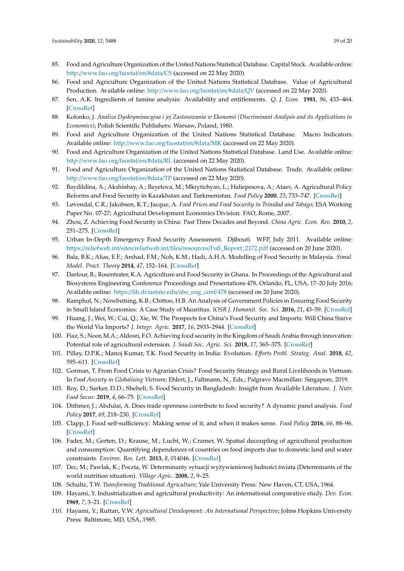- <span id="page-18-8"></span><span id="page-18-7"></span><span id="page-18-6"></span><span id="page-18-5"></span><span id="page-18-4"></span><span id="page-18-0"></span>85. Food and Agriculture Organization of the United Nations Statistical Database. Capital Stock. Available online: http://[www.fao.org](http://www.fao.org/faostat/en/#data/CS)/faostat/en/#data/CS (accessed on 22 May 2020).
- <span id="page-18-1"></span>86. Food and Agriculture Organization of the United Nations Statistical Database. Value of Agricultural Production. Available online: http://[www.fao.org](http://www.fao.org/faostat/en/#data/QV)/faostat/en/#data/QV (accessed on 22 May 2020).
- <span id="page-18-2"></span>87. Sen, A.K. Ingredients of famine analysis: Availability and entitlements. *Q. J. Econ.* **1981**, *96*, 433–464. [\[CrossRef\]](http://dx.doi.org/10.2307/1882681)
- <span id="page-18-3"></span>88. Kolonko, J. *Analiza Dyskryminacyjna i jej Zastosowania w Ekonomii (Discriminant Analysis and its Applications in Economics)*; Polish Scientific Publishers: Warsaw, Poland, 1980.
- 89. Food and Agriculture Organization of the United Nations Statistical Database. Macro Indicators. Available online: http://[www.fao.org](http://www.fao.org/faostat/en/#data/MK)/faostat/en/#data/MK (accessed on 22 May 2020).
- 90. Food and Agriculture Organization of the United Nations Statistical Database. Land Use. Available online: http://[www.fao.org](http://www.fao.org/faostat/en/#data/RL)/faostat/en/#data/RL (accessed on 22 May 2020).
- <span id="page-18-13"></span>91. Food and Agriculture Organization of the United Nations Statistical Database. Trade. Available online: http://[www.fao.org](http://www.fao.org/faostat/en/#data/TP)/faostat/en/#data/TP (accessed on 22 May 2020).
- 92. Baydildina, A.; Akshinbay, A.; Bayetova, M.; Mkrytichyan, L.; Haliepesova, A.; Ataev, A. Agricultural Policy Reforms and Food Security in Kazakhstan and Turkmenistan. *Food Policy* **2000**, *25*, 733–747. [\[CrossRef\]](http://dx.doi.org/10.1016/S0306-9192(00)00035-X)
- 93. Løvendal, C.R.; Jakobsen, K.T.; Jacque, A. *Food Prices and Food Security in Trinidad and Tobago*; ESA Working Paper No. 07-27; Agricultural Development Economics Division: FAO, Rome, 2007.
- <span id="page-18-9"></span>94. Zhou, Z. Achieving Food Security in China: Past Three Decades and Beyond. *China Agric. Econ. Rev.* **2010**, *2*, 251–275. [\[CrossRef\]](http://dx.doi.org/10.1108/17561371011078417)
- 95. Urban In-Depth Emergency Food Security Assessment. Djibouti. WFP, July 2011. Available online: https://reliefweb.int/sites/reliefweb.int/files/resources/[Full\\_Report\\_2172.pdf](https://reliefweb.int/sites/reliefweb.int/files/resources/Full_Report_2172.pdf) (accessed on 20 June 2020).
- 96. Bala, B.K.; Alias, E.F.; Arshad, F.M.; Noh, K.M.; Hadi, A.H.A. Modelling of Food Security in Malaysia. *Simul. Model. Pract. Theory* **2014**, *47*, 152–164. [\[CrossRef\]](http://dx.doi.org/10.1016/j.simpat.2014.06.001)
- 97. Darfour, B.; Rosentrater, K.A. Agriculture and Food Security in Ghana. In Proceedings of the Agricultural and Biosystems Engineering Conference Proceedings and Presentations 478, Orlando, FL, USA, 17–20 July 2016; Available online: https://[lib.dr.iastate.edu](https://lib.dr.iastate.edu/abe_eng_conf/478)/abe\_eng\_conf/478 (accessed on 20 June 2020).
- 98. Ramphul, N.; Nowbutsing, K.B.; Chittoo, H.B. An Analysis of Government Policies in Ensuring Food Security in Small Island Economies: A Case Study of Mauritius. *IOSR J. Humanit. Soc. Sci.* **2016**, *21*, 43–59. [\[CrossRef\]](http://dx.doi.org/10.9790/0837-2109074359)
- 99. Huang, J.; Wei, W.; Cui, Q.; Xie, W. The Prospects for China's Food Security and Imports: Will China Starve the World Via Imports? *J. Integr. Agric.* **2017**, *16*, 2933–2944. [\[CrossRef\]](http://dx.doi.org/10.1016/S2095-3119(17)61756-8)
- 100. Fiaz, S.; Noor, M.A.; Aldosri, F.O. Achieving food security in the Kingdom of Saudi Arabia through innovation: Potential role of agricultural extension. *J. Saudi Soc. Agric. Sci.* **2018**, *17*, 365–375. [\[CrossRef\]](http://dx.doi.org/10.1016/j.jssas.2016.09.001)
- 101. Pillay, D.P.K.; Manoj Kumar, T.K. Food Security in India: Evolution. *E*ff*orts Probl. Strateg. Anal.* **2018**, *42*, 595–611. [\[CrossRef\]](http://dx.doi.org/10.1080/09700161.2018.1560916)
- 102. Gorman, T. From Food Crisis to Agrarian Crisis? Food Security Strategy and Rural Livelihoods in Vietnam. In *Food Anxiety in Globalising Vietnam*; Ehlert, J., Faltmann, N., Eds.; Palgrave Macmillan: Singapore, 2019.
- 103. Roy, D.; Sarker, D.D.; Sheheli, S. Food Security in Bangladesh: Insight from Available Literature. *J. Nutr. Food Secur.* **2019**, *4*, 66–75. [\[CrossRef\]](http://dx.doi.org/10.18502/jnfs.v4i1.401)
- <span id="page-18-10"></span>104. Dithmer, J.; Abdulai, A. Does trade openness contribute to food security? A dynamic panel analysis. *Food Policy* **2017**, *69*, 218–230. [\[CrossRef\]](http://dx.doi.org/10.1016/j.foodpol.2017.04.008)
- <span id="page-18-11"></span>105. Clapp, J. Food self-sufficiency: Making sense of it, and when it makes sense. *Food Policy* **2016**, *66*, 88–96. [\[CrossRef\]](http://dx.doi.org/10.1016/j.foodpol.2016.12.001)
- <span id="page-18-12"></span>106. Fader, M.; Gerten, D.; Krause, M.; Lucht, W.; Cramer, W. Spatial decoupling of agricultural production and consumption: Quantifying dependences of countries on food imports due to domestic land and water constraints. *Environ. Res. Lett.* **2013**, *8*, 014046. [\[CrossRef\]](http://dx.doi.org/10.1088/1748-9326/8/1/014046)
- <span id="page-18-14"></span>107. Dec, M.; Pawlak, K.; Poczta, W. Determinanty sytuacji wyżywieniowej ludności świata (Determinants of the world nutrition situation). *Village Agric.* **2008**, *2*, 9–25.
- <span id="page-18-15"></span>108. Schultz, T.W. *Transforming Traditional Agriculture*; Yale University Press: New Haven, CT, USA, 1964.
- <span id="page-18-16"></span>109. Hayami, Y. Industrialization and agricultural productivity: An international comparative study. *Dev. Econ.* **1969**, *7*, 3–21. [\[CrossRef\]](http://dx.doi.org/10.1111/j.1746-1049.1969.tb00796.x)
- <span id="page-18-17"></span>110. Hayami, Y.; Ruttan, V.W. *Agricultural Development: An International Perspective*; Johns Hopkins University Press: Baltimore, MD, USA, 1985.